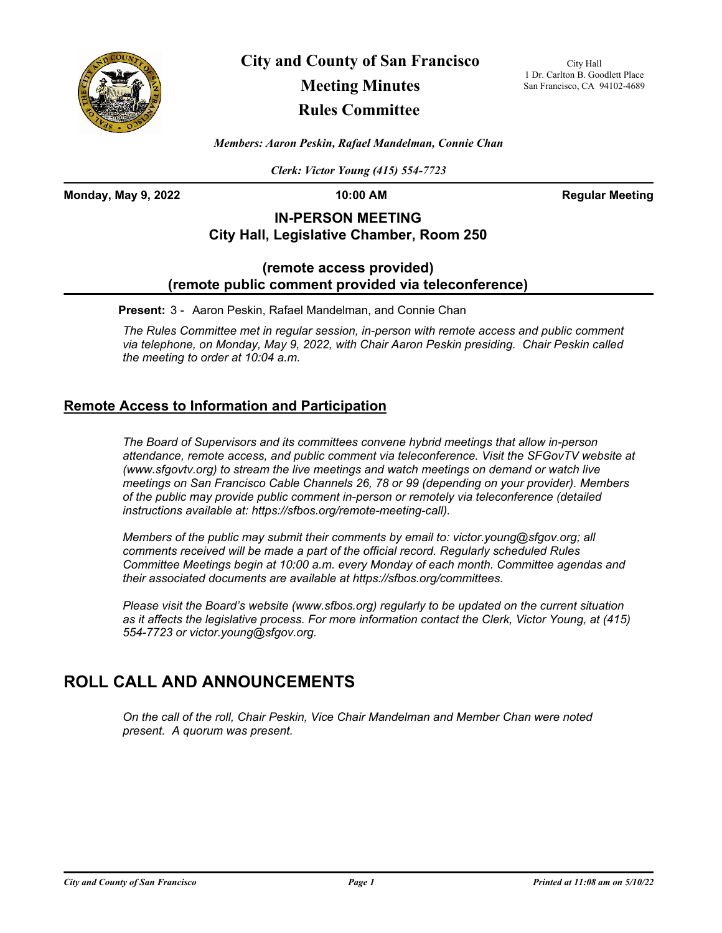

**City and County of San Francisco**

# **Meeting Minutes**

## **Rules Committee**

City Hall 1 Dr. Carlton B. Goodlett Place San Francisco, CA 94102-4689

*Members: Aaron Peskin, Rafael Mandelman, Connie Chan*

*Clerk: Victor Young (415) 554-7723*

**Monday, May 9, 2022 10:00 AM Regular Meeting**

## **IN-PERSON MEETING City Hall, Legislative Chamber, Room 250**

### **(remote access provided) (remote public comment provided via teleconference)**

**Present:** 3 - Aaron Peskin, Rafael Mandelman, and Connie Chan

*The Rules Committee met in regular session, in-person with remote access and public comment via telephone, on Monday, May 9, 2022, with Chair Aaron Peskin presiding. Chair Peskin called the meeting to order at 10:04 a.m.*

### **Remote Access to Information and Participation**

*The Board of Supervisors and its committees convene hybrid meetings that allow in-person attendance, remote access, and public comment via teleconference. Visit the SFGovTV website at (www.sfgovtv.org) to stream the live meetings and watch meetings on demand or watch live meetings on San Francisco Cable Channels 26, 78 or 99 (depending on your provider). Members of the public may provide public comment in-person or remotely via teleconference (detailed instructions available at: https://sfbos.org/remote-meeting-call).* 

*Members of the public may submit their comments by email to: victor.young@sfgov.org; all comments received will be made a part of the official record. Regularly scheduled Rules Committee Meetings begin at 10:00 a.m. every Monday of each month. Committee agendas and their associated documents are available at https://sfbos.org/committees.*

*Please visit the Board's website (www.sfbos.org) regularly to be updated on the current situation as it affects the legislative process. For more information contact the Clerk, Victor Young, at (415) 554-7723 or victor.young@sfgov.org.*

## **ROLL CALL AND ANNOUNCEMENTS**

*On the call of the roll, Chair Peskin, Vice Chair Mandelman and Member Chan were noted present. A quorum was present.*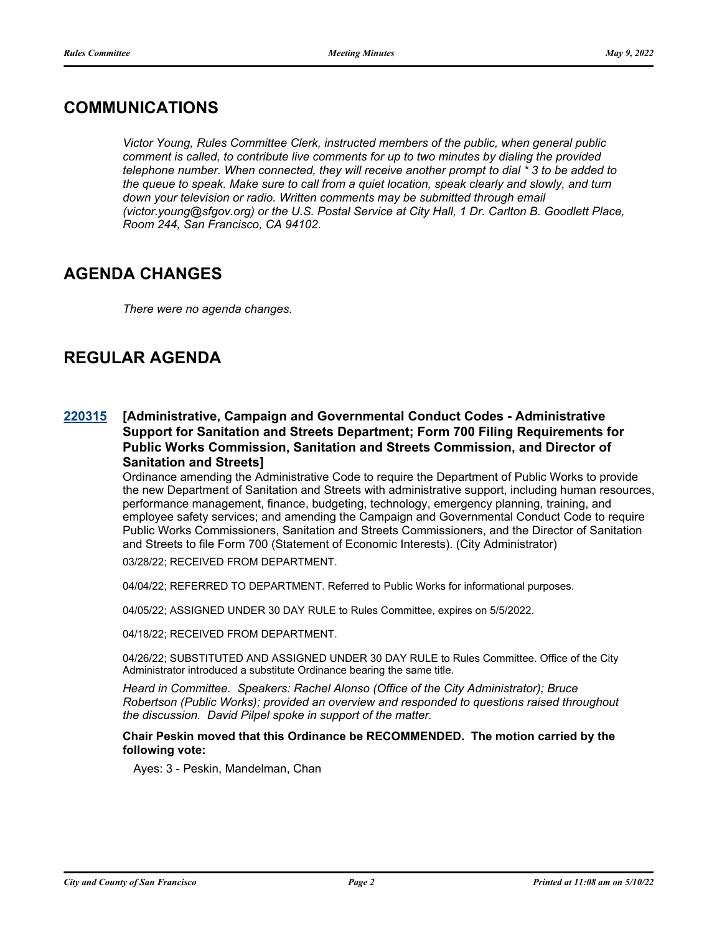## **COMMUNICATIONS**

*Victor Young, Rules Committee Clerk, instructed members of the public, when general public comment is called, to contribute live comments for up to two minutes by dialing the provided telephone number. When connected, they will receive another prompt to dial \* 3 to be added to the queue to speak. Make sure to call from a quiet location, speak clearly and slowly, and turn*  down your television or radio. Written comments may be submitted through email *(victor.young@sfgov.org) or the U.S. Postal Service at City Hall, 1 Dr. Carlton B. Goodlett Place, Room 244, San Francisco, CA 94102.*

## **AGENDA CHANGES**

*There were no agenda changes.*

## **REGULAR AGENDA**

#### **[Administrative, Campaign and Governmental Conduct Codes - Administrative Support for Sanitation and Streets Department; Form 700 Filing Requirements for Public Works Commission, Sanitation and Streets Commission, and Director of Sanitation and Streets] [220315](http://sfgov.legistar.com/gateway.aspx?m=l&id=38507)**

Ordinance amending the Administrative Code to require the Department of Public Works to provide the new Department of Sanitation and Streets with administrative support, including human resources, performance management, finance, budgeting, technology, emergency planning, training, and employee safety services; and amending the Campaign and Governmental Conduct Code to require Public Works Commissioners, Sanitation and Streets Commissioners, and the Director of Sanitation and Streets to file Form 700 (Statement of Economic Interests). (City Administrator)

03/28/22; RECEIVED FROM DEPARTMENT.

04/04/22; REFERRED TO DEPARTMENT. Referred to Public Works for informational purposes.

04/05/22; ASSIGNED UNDER 30 DAY RULE to Rules Committee, expires on 5/5/2022.

04/18/22; RECEIVED FROM DEPARTMENT.

04/26/22; SUBSTITUTED AND ASSIGNED UNDER 30 DAY RULE to Rules Committee. Office of the City Administrator introduced a substitute Ordinance bearing the same title.

*Heard in Committee. Speakers: Rachel Alonso (Office of the City Administrator); Bruce Robertson (Public Works); provided an overview and responded to questions raised throughout the discussion. David Pilpel spoke in support of the matter.*

#### **Chair Peskin moved that this Ordinance be RECOMMENDED. The motion carried by the following vote:**

Ayes: 3 - Peskin, Mandelman, Chan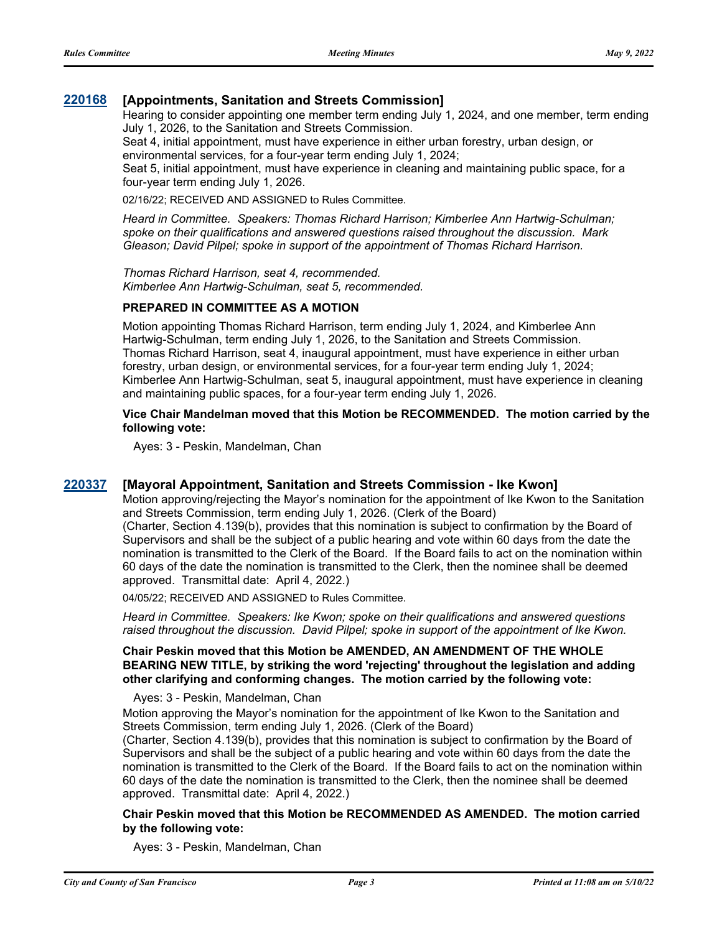#### **[220168](http://sfgov.legistar.com/gateway.aspx?m=l&id=38363) [Appointments, Sanitation and Streets Commission]**

Hearing to consider appointing one member term ending July 1, 2024, and one member, term ending July 1, 2026, to the Sanitation and Streets Commission.

Seat 4, initial appointment, must have experience in either urban forestry, urban design, or environmental services, for a four-year term ending July 1, 2024;

Seat 5, initial appointment, must have experience in cleaning and maintaining public space, for a four-year term ending July 1, 2026.

02/16/22; RECEIVED AND ASSIGNED to Rules Committee.

*Heard in Committee. Speakers: Thomas Richard Harrison; Kimberlee Ann Hartwig-Schulman; spoke on their qualifications and answered questions raised throughout the discussion. Mark Gleason; David Pilpel; spoke in support of the appointment of Thomas Richard Harrison.*

*Thomas Richard Harrison, seat 4, recommended. Kimberlee Ann Hartwig-Schulman, seat 5, recommended.*

#### **PREPARED IN COMMITTEE AS A MOTION**

Motion appointing Thomas Richard Harrison, term ending July 1, 2024, and Kimberlee Ann Hartwig-Schulman, term ending July 1, 2026, to the Sanitation and Streets Commission. Thomas Richard Harrison, seat 4, inaugural appointment, must have experience in either urban forestry, urban design, or environmental services, for a four-year term ending July 1, 2024; Kimberlee Ann Hartwig-Schulman, seat 5, inaugural appointment, must have experience in cleaning and maintaining public spaces, for a four-year term ending July 1, 2026.

#### **Vice Chair Mandelman moved that this Motion be RECOMMENDED. The motion carried by the following vote:**

Ayes: 3 - Peskin, Mandelman, Chan

#### **[220337](http://sfgov.legistar.com/gateway.aspx?m=l&id=38529) [Mayoral Appointment, Sanitation and Streets Commission - Ike Kwon]**

Motion approving/rejecting the Mayor's nomination for the appointment of Ike Kwon to the Sanitation and Streets Commission, term ending July 1, 2026. (Clerk of the Board)

(Charter, Section 4.139(b), provides that this nomination is subject to confirmation by the Board of Supervisors and shall be the subject of a public hearing and vote within 60 days from the date the nomination is transmitted to the Clerk of the Board. If the Board fails to act on the nomination within 60 days of the date the nomination is transmitted to the Clerk, then the nominee shall be deemed approved. Transmittal date: April 4, 2022.)

04/05/22; RECEIVED AND ASSIGNED to Rules Committee.

*Heard in Committee. Speakers: Ike Kwon; spoke on their qualifications and answered questions raised throughout the discussion. David Pilpel; spoke in support of the appointment of Ike Kwon.*

#### **Chair Peskin moved that this Motion be AMENDED, AN AMENDMENT OF THE WHOLE BEARING NEW TITLE, by striking the word 'rejecting' throughout the legislation and adding other clarifying and conforming changes. The motion carried by the following vote:**

Ayes: 3 - Peskin, Mandelman, Chan

Motion approving the Mayor's nomination for the appointment of Ike Kwon to the Sanitation and Streets Commission, term ending July 1, 2026. (Clerk of the Board)

(Charter, Section 4.139(b), provides that this nomination is subject to confirmation by the Board of Supervisors and shall be the subject of a public hearing and vote within 60 days from the date the nomination is transmitted to the Clerk of the Board. If the Board fails to act on the nomination within 60 days of the date the nomination is transmitted to the Clerk, then the nominee shall be deemed approved. Transmittal date: April 4, 2022.)

#### **Chair Peskin moved that this Motion be RECOMMENDED AS AMENDED. The motion carried by the following vote:**

Ayes: 3 - Peskin, Mandelman, Chan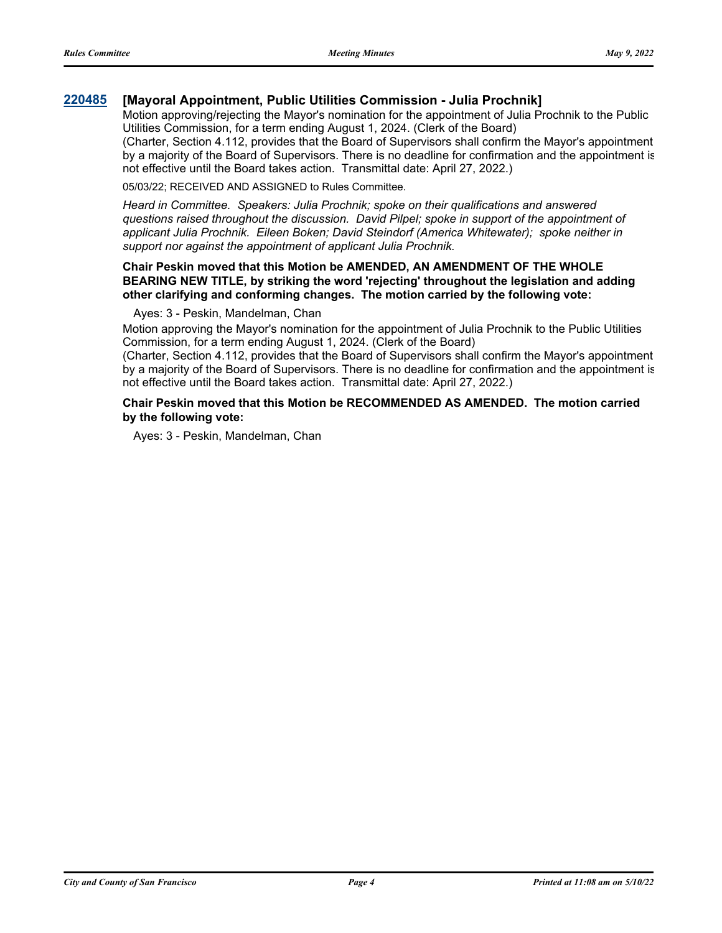#### **[220485](http://sfgov.legistar.com/gateway.aspx?m=l&id=38677) [Mayoral Appointment, Public Utilities Commission - Julia Prochnik]**

Motion approving/rejecting the Mayor's nomination for the appointment of Julia Prochnik to the Public Utilities Commission, for a term ending August 1, 2024. (Clerk of the Board)

(Charter, Section 4.112, provides that the Board of Supervisors shall confirm the Mayor's appointment by a majority of the Board of Supervisors. There is no deadline for confirmation and the appointment is not effective until the Board takes action. Transmittal date: April 27, 2022.)

05/03/22; RECEIVED AND ASSIGNED to Rules Committee.

*Heard in Committee. Speakers: Julia Prochnik; spoke on their qualifications and answered questions raised throughout the discussion. David Pilpel; spoke in support of the appointment of applicant Julia Prochnik. Eileen Boken; David Steindorf (America Whitewater); spoke neither in support nor against the appointment of applicant Julia Prochnik.*

#### **Chair Peskin moved that this Motion be AMENDED, AN AMENDMENT OF THE WHOLE BEARING NEW TITLE, by striking the word 'rejecting' throughout the legislation and adding other clarifying and conforming changes. The motion carried by the following vote:**

#### Ayes: 3 - Peskin, Mandelman, Chan

Motion approving the Mayor's nomination for the appointment of Julia Prochnik to the Public Utilities Commission, for a term ending August 1, 2024. (Clerk of the Board)

(Charter, Section 4.112, provides that the Board of Supervisors shall confirm the Mayor's appointment by a majority of the Board of Supervisors. There is no deadline for confirmation and the appointment is not effective until the Board takes action. Transmittal date: April 27, 2022.)

#### **Chair Peskin moved that this Motion be RECOMMENDED AS AMENDED. The motion carried by the following vote:**

Ayes: 3 - Peskin, Mandelman, Chan